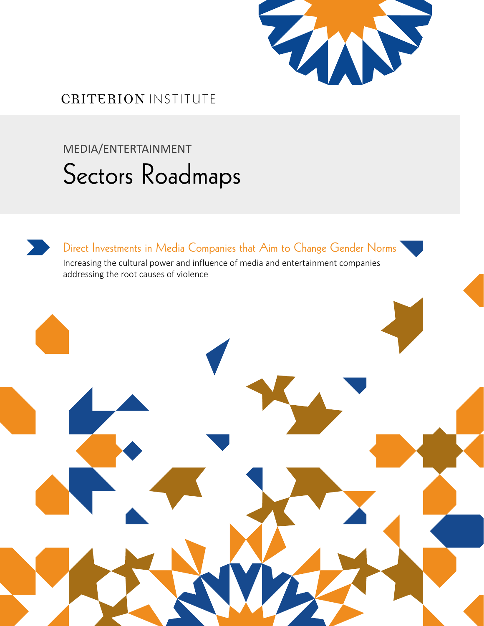

## **CRITERION INSTITUTE**

# MEDIA/ENTERTAINMENT Sectors Roadmaps

Direct Investments in Media Companies that Aim to Change Gender Norms Increasing the cultural power and influence of media and entertainment companies addressing the root causes of violence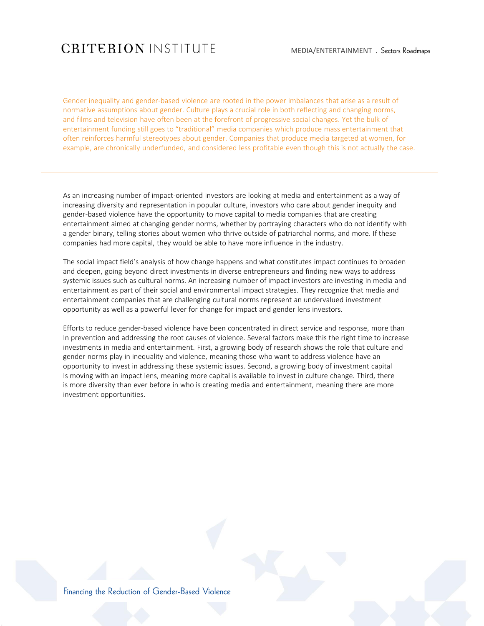## **CRITERION INSTITUTE**

Gender inequality and gender-based violence are rooted in the power imbalances that arise as a result of normative assumptions about gender. Culture plays a crucial role in both reflecting and changing norms, and films and television have often been at the forefront of progressive social changes. Yet the bulk of entertainment funding still goes to "traditional" media companies which produce mass entertainment that often reinforces harmful stereotypes about gender. Companies that produce media targeted at women, for example, are chronically underfunded, and considered less profitable even though this is not actually the case.

As an increasing number of impact-oriented investors are looking at media and entertainment as a way of increasing diversity and representation in popular culture, investors who care about gender inequity and gender-based violence have the opportunity to move capital to media companies that are creating entertainment aimed at changing gender norms, whether by portraying characters who do not identify with a gender binary, telling stories about women who thrive outside of patriarchal norms, and more. If these companies had more capital, they would be able to have more influence in the industry.

The social impact field's analysis of how change happens and what constitutes impact continues to broaden and deepen, going beyond direct investments in diverse entrepreneurs and finding new ways to address systemic issues such as cultural norms. An increasing number of impact investors are investing in media and entertainment as part of their social and environmental impact strategies. They recognize that media and entertainment companies that are challenging cultural norms represent an undervalued investment opportunity as well as a powerful lever for change for impact and gender lens investors.

Efforts to reduce gender-based violence have been concentrated in direct service and response, more than In prevention and addressing the root causes of violence. Several factors make this the right time to increase investments in media and entertainment. First, a growing body of research shows the role that culture and gender norms play in inequality and violence, meaning those who want to address violence have an opportunity to invest in addressing these systemic issues. Second, a growing body of investment capital Is moving with an impact lens, meaning more capital is available to invest in culture change. Third, there is more diversity than ever before in who is creating media and entertainment, meaning there are more investment opportunities.

Financing the Reduction of Gender-Based Violence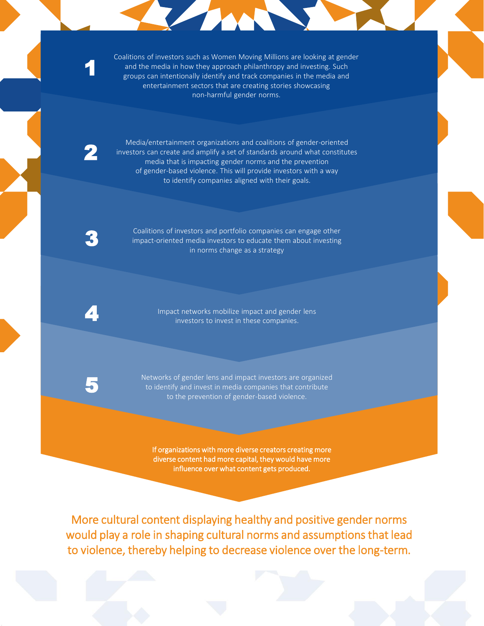Coalitions of investors such as Women Moving Millions are looking at gender and the media in how they approach philanthropy and investing. Such groups can intentionally identify and track companies in the media and entertainment sectors that are creating stories showcasing non-harmful gender norms.

**TANK** 

Media/entertainment organizations and coalitions of gender-oriented investors can create and amplify a set of standards around what constitutes media that is impacting gender norms and the prevention of gender-based violence. This will provide investors with a way to identify companies aligned with their goals.

2

1 1

1

Coalitions of investors and portfolio companies can engage other impact-oriented media investors to educate them about investing in norms change as a strategy

Impact networks mobilize impact and gender lens<br>4 investors to invest in these companies.

Networks of gender lens and impact investors are organized to identify and invest in media companies that contribute 5 to the prevention of gender-based violence.

If organizations with more diverse creators creating more diverse content had more capital, they would have more influence over what content gets produced.

More cultural content displaying healthy and positive gender norms would play a role in shaping cultural norms and assumptions that lead to violence, thereby helping to decrease violence over the long-term.